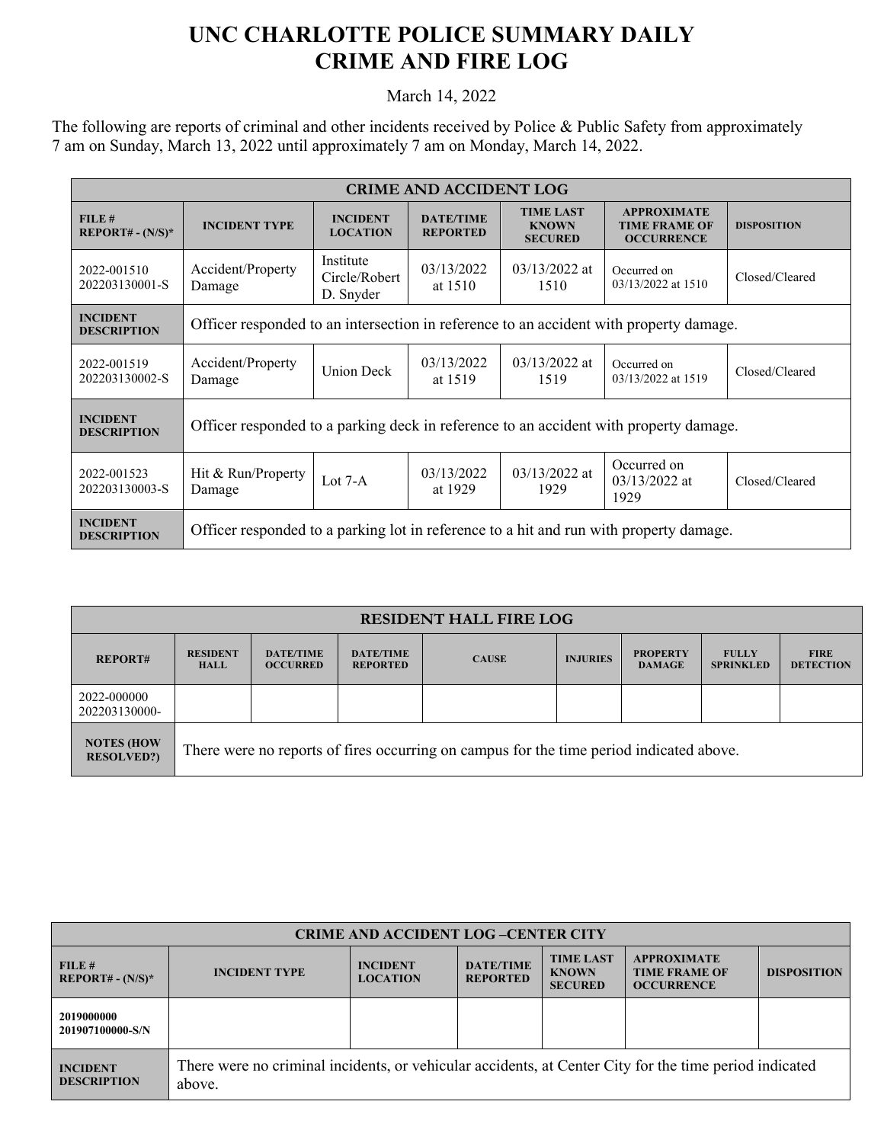## **UNC CHARLOTTE POLICE SUMMARY DAILY CRIME AND FIRE LOG**

March 14, 2022

The following are reports of criminal and other incidents received by Police & Public Safety from approximately 7 am on Sunday, March 13, 2022 until approximately 7 am on Monday, March 14, 2022.

| <b>CRIME AND ACCIDENT LOG</b>                  |                                                                                        |                                         |                                     |                                                    |                                                                 |                    |  |  |
|------------------------------------------------|----------------------------------------------------------------------------------------|-----------------------------------------|-------------------------------------|----------------------------------------------------|-----------------------------------------------------------------|--------------------|--|--|
| FILE#<br><b>REPORT# - <math>(N/S)^*</math></b> | <b>INCIDENT TYPE</b>                                                                   | <b>INCIDENT</b><br><b>LOCATION</b>      | <b>DATE/TIME</b><br><b>REPORTED</b> | <b>TIME LAST</b><br><b>KNOWN</b><br><b>SECURED</b> | <b>APPROXIMATE</b><br><b>TIME FRAME OF</b><br><b>OCCURRENCE</b> | <b>DISPOSITION</b> |  |  |
| 2022-001510<br>202203130001-S                  | Accident/Property<br>Damage                                                            | Institute<br>Circle/Robert<br>D. Snyder | 03/13/2022<br>at $1510$             | $03/13/2022$ at<br>1510                            | Occurred on<br>03/13/2022 at 1510                               | Closed/Cleared     |  |  |
| <b>INCIDENT</b><br><b>DESCRIPTION</b>          | Officer responded to an intersection in reference to an accident with property damage. |                                         |                                     |                                                    |                                                                 |                    |  |  |
| 2022-001519<br>202203130002-S                  | Accident/Property<br>Damage                                                            | <b>Union Deck</b>                       | 03/13/2022<br>at 1519               | $03/13/2022$ at<br>1519                            | Occurred on<br>03/13/2022 at 1519                               | Closed/Cleared     |  |  |
| <b>INCIDENT</b><br><b>DESCRIPTION</b>          | Officer responded to a parking deck in reference to an accident with property damage.  |                                         |                                     |                                                    |                                                                 |                    |  |  |
| 2022-001523<br>202203130003-S                  | Hit & Run/Property<br>Damage                                                           | Lot $7-A$                               | 03/13/2022<br>at 1929               | $03/13/2022$ at<br>1929                            | Occurred on<br>$03/13/2022$ at<br>1929                          | Closed/Cleared     |  |  |
| <b>INCIDENT</b><br><b>DESCRIPTION</b>          | Officer responded to a parking lot in reference to a hit and run with property damage. |                                         |                                     |                                                    |                                                                 |                    |  |  |

| <b>RESIDENT HALL FIRE LOG</b>          |                                                                                         |                                     |                                     |              |                 |                                  |                                  |                                 |
|----------------------------------------|-----------------------------------------------------------------------------------------|-------------------------------------|-------------------------------------|--------------|-----------------|----------------------------------|----------------------------------|---------------------------------|
| <b>REPORT#</b>                         | <b>RESIDENT</b><br><b>HALL</b>                                                          | <b>DATE/TIME</b><br><b>OCCURRED</b> | <b>DATE/TIME</b><br><b>REPORTED</b> | <b>CAUSE</b> | <b>INJURIES</b> | <b>PROPERTY</b><br><b>DAMAGE</b> | <b>FULLY</b><br><b>SPRINKLED</b> | <b>FIRE</b><br><b>DETECTION</b> |
| 2022-000000<br>202203130000-           |                                                                                         |                                     |                                     |              |                 |                                  |                                  |                                 |
| <b>NOTES (HOW</b><br><b>RESOLVED?)</b> | There were no reports of fires occurring on campus for the time period indicated above. |                                     |                                     |              |                 |                                  |                                  |                                 |

| <b>CRIME AND ACCIDENT LOG-CENTER CITY</b> |                                                                                                                  |                                    |                                     |                                                    |                                                                 |                    |  |
|-------------------------------------------|------------------------------------------------------------------------------------------------------------------|------------------------------------|-------------------------------------|----------------------------------------------------|-----------------------------------------------------------------|--------------------|--|
| FILE#<br>$REPORT# - (N/S)*$               | <b>INCIDENT TYPE</b>                                                                                             | <b>INCIDENT</b><br><b>LOCATION</b> | <b>DATE/TIME</b><br><b>REPORTED</b> | <b>TIME LAST</b><br><b>KNOWN</b><br><b>SECURED</b> | <b>APPROXIMATE</b><br><b>TIME FRAME OF</b><br><b>OCCURRENCE</b> | <b>DISPOSITION</b> |  |
| 2019000000<br>201907100000-S/N            |                                                                                                                  |                                    |                                     |                                                    |                                                                 |                    |  |
| <b>INCIDENT</b><br><b>DESCRIPTION</b>     | There were no criminal incidents, or vehicular accidents, at Center City for the time period indicated<br>above. |                                    |                                     |                                                    |                                                                 |                    |  |